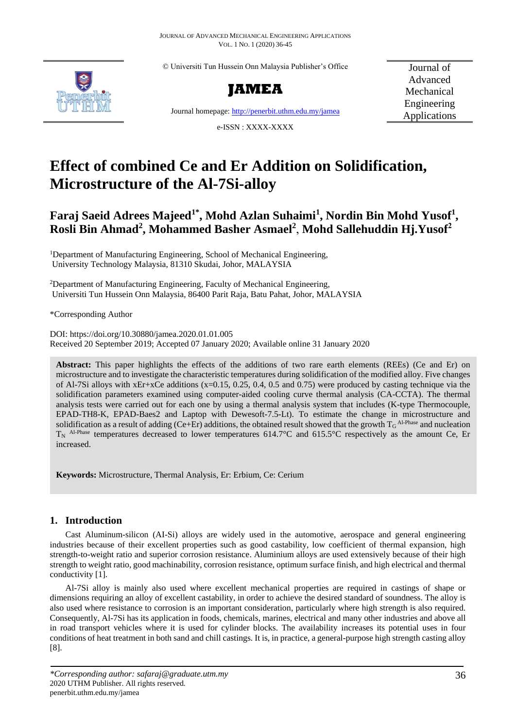© Universiti Tun Hussein Onn Malaysia Publisher's Office





Journal of Advanced Mechanical Engineering Applications

Journal homepage[: http://penerbit.uthm.edu.my/jamea](http://penerbit.uthm.edu.my/jamea) e-ISSN : XXXX-XXXX

**Effect of combined Ce and Er Addition on Solidification, Microstructure of the Al-7Si-alloy**

# **Faraj Saeid Adrees Majeed1\* , Mohd Azlan Suhaimi<sup>1</sup> , Nordin Bin Mohd Yusof<sup>1</sup> , Rosli Bin Ahmad<sup>2</sup> , Mohammed Basher Asmael<sup>2</sup>** , **Mohd Sallehuddin Hj.Yusof<sup>2</sup>**

<sup>1</sup>Department of Manufacturing Engineering, School of Mechanical Engineering, University Technology Malaysia, 81310 Skudai, Johor, MALAYSIA

<sup>2</sup>Department of Manufacturing Engineering, Faculty of Mechanical Engineering, Universiti Tun Hussein Onn Malaysia, 86400 Parit Raja, Batu Pahat, Johor, MALAYSIA

\*Corresponding Author

DOI: https://doi.org/10.30880/jamea.2020.01.01.005 Received 20 September 2019; Accepted 07 January 2020; Available online 31 January 2020

**Abstract:** This paper highlights the effects of the additions of two rare earth elements (REEs) (Ce and Er) on microstructure and to investigate the characteristic temperatures during solidification of the modified alloy. Five changes of Al-7Si alloys with  $xEr+xc$ e additions  $(x=0.15, 0.25, 0.4, 0.5, 0.4, 0.5)$  were produced by casting technique via the solidification parameters examined using computer-aided cooling curve thermal analysis (CA-CCTA). The thermal analysis tests were carried out for each one by using a thermal analysis system that includes (K-type Thermocouple, EPAD-TH8-K, EPAD-Baes2 and Laptop with Dewesoft-7.5-Lt). To estimate the change in microstructure and solidification as a result of adding (Ce+Er) additions, the obtained result showed that the growth  $T_G$  <sup>Al-Phase</sup> and nucleation  $T_N$  Al-Phase temperatures decreased to lower temperatures 614.7°C and 615.5°C respectively as the amount Ce, Er increased.

**Keywords:** Microstructure, Thermal Analysis, Er: Erbium, Ce: Cerium

# **1. Introduction**

Cast Aluminum-silicon (AI-Si) alloys are widely used in the automotive, aerospace and general engineering industries because of their excellent properties such as good castability, low coefficient of thermal expansion, high strength-to-weight ratio and superior corrosion resistance. Aluminium alloys are used extensively because of their high strength to weight ratio, good machinability, corrosion resistance, optimum surface finish, and high electrical and thermal conductivity [1].

Al-7Si alloy is mainly also used where excellent mechanical properties are required in castings of shape or dimensions requiring an alloy of excellent castability, in order to achieve the desired standard of soundness. The alloy is also used where resistance to corrosion is an important consideration, particularly where high strength is also required. Consequently, Al-7Si has its application in foods, chemicals, marines, electrical and many other industries and above all in road transport vehicles where it is used for cylinder blocks. The availability increases its potential uses in four conditions of heat treatment in both sand and chill castings. It is, in practice, a general-purpose high strength casting alloy [8].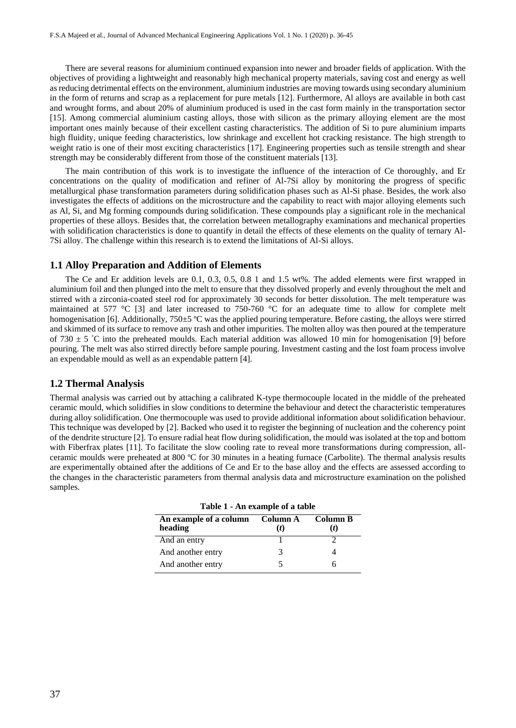There are several reasons for aluminium continued expansion into newer and broader fields of application. With the objectives of providing a lightweight and reasonably high mechanical property materials, saving cost and energy as well as reducing detrimental effects on the environment, aluminium industries are moving towards using secondary aluminium in the form of returns and scrap as a replacement for pure metals [12]. Furthermore, Al alloys are available in both cast and wrought forms, and about 20% of aluminium produced is used in the cast form mainly in the transportation sector [15]. Among commercial aluminium casting alloys, those with silicon as the primary alloying element are the most important ones mainly because of their excellent casting characteristics. The addition of Si to pure aluminium imparts high fluidity, unique feeding characteristics, low shrinkage and excellent hot cracking resistance. The high strength to weight ratio is one of their most exciting characteristics [17]. Engineering properties such as tensile strength and shear strength may be considerably different from those of the constituent materials [13].

The main contribution of this work is to investigate the influence of the interaction of Ce thoroughly, and Er concentrations on the quality of modification and refiner of Al-7Si alloy by monitoring the progress of specific metallurgical phase transformation parameters during solidification phases such as Al-Si phase. Besides, the work also investigates the effects of additions on the microstructure and the capability to react with major alloying elements such as Al, Si, and Mg forming compounds during solidification. These compounds play a significant role in the mechanical properties of these alloys. Besides that, the correlation between metallography examinations and mechanical properties with solidification characteristics is done to quantify in detail the effects of these elements on the quality of ternary Al-7Si alloy. The challenge within this research is to extend the limitations of Al-Si alloys.

## **1.1 Alloy Preparation and Addition of Elements**

The Ce and Er addition levels are 0.1, 0.3, 0.5, 0.8 1 and 1.5 wt%. The added elements were first wrapped in aluminium foil and then plunged into the melt to ensure that they dissolved properly and evenly throughout the melt and stirred with a zirconia-coated steel rod for approximately 30 seconds for better dissolution. The melt temperature was maintained at 577 °C [3] and later increased to 750-760 °C for an adequate time to allow for complete melt homogenisation [6]. Additionally, 750 $\pm$ 5 °C was the applied pouring temperature. Before casting, the alloys were stirred and skimmed of its surface to remove any trash and other impurities. The molten alloy was then poured at the temperature of 730  $\pm$  5 °C into the preheated moulds. Each material addition was allowed 10 min for homogenisation [9] before pouring. The melt was also stirred directly before sample pouring. Investment casting and the lost foam process involve an expendable mould as well as an expendable pattern [4].

#### **1.2 Thermal Analysis**

Thermal analysis was carried out by attaching a calibrated K-type thermocouple located in the middle of the preheated ceramic mould, which solidifies in slow conditions to determine the behaviour and detect the characteristic temperatures during alloy solidification. One thermocouple was used to provide additional information about solidification behaviour. This technique was developed by [2]. Backed who used it to register the beginning of nucleation and the coherency point of the dendrite structure [2]. To ensure radial heat flow during solidification, the mould was isolated at the top and bottom with Fiberfrax plates [11]. To facilitate the slow cooling rate to reveal more transformations during compression, allceramic moulds were preheated at 800 ºC for 30 minutes in a heating furnace (Carbolite). The thermal analysis results are experimentally obtained after the additions of Ce and Er to the base alloy and the effects are assessed according to the changes in the characteristic parameters from thermal analysis data and microstructure examination on the polished samples.

| Table 1 - All example of a table           |  |                 |  |  |  |
|--------------------------------------------|--|-----------------|--|--|--|
| An example of a column Column A<br>heading |  | Column B<br>(t) |  |  |  |
| And an entry                               |  |                 |  |  |  |
| And another entry                          |  |                 |  |  |  |
| And another entry                          |  |                 |  |  |  |

| Table 1 - An example of a table |  |  |  |
|---------------------------------|--|--|--|
|---------------------------------|--|--|--|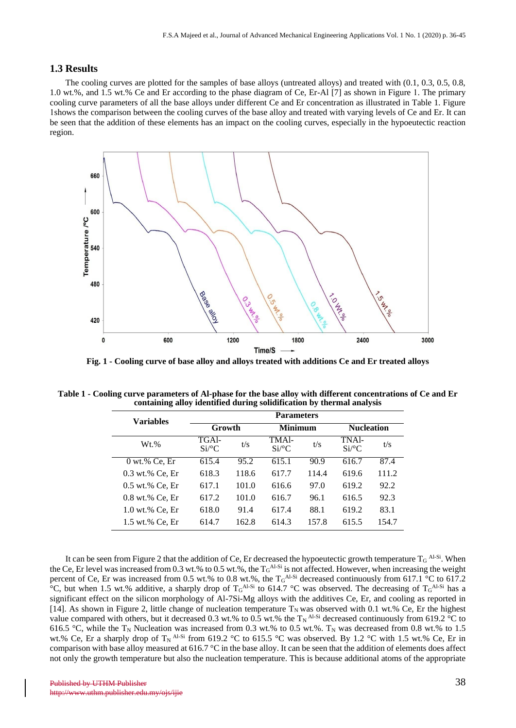#### **1.3 Results**

The cooling curves are plotted for the samples of base alloys (untreated alloys) and treated with (0.1, 0.3, 0.5, 0.8, 1.0 wt.%, and 1.5 wt.% Ce and Er according to the phase diagram of Ce, Er-Al [7] as shown in Figure 1. The primary cooling curve parameters of all the base alloys under different Ce and Er concentration as illustrated in Table 1. Figure 1shows the comparison between the cooling curves of the base alloy and treated with varying levels of Ce and Er. It can be seen that the addition of these elements has an impact on the cooling curves, especially in the hypoeutectic reaction region.



**Fig. 1 - Cooling curve of base alloy and alloys treated with additions Ce and Er treated alloys**

| <b>Variables</b> | <b>Parameters</b>            |       |                              |       |                                |       |
|------------------|------------------------------|-------|------------------------------|-------|--------------------------------|-------|
|                  | Growth                       |       | <b>Minimum</b>               |       | <b>Nucleation</b>              |       |
| $Wt.$ %          | TGAI-<br>$Si$ <sup>o</sup> C | t/s   | TMAI-<br>$Si$ <sup>o</sup> C | t/s   | TNAl-<br>$Si$ <sup>o</sup> $C$ | t/s   |
| $0$ wt.% Ce, Er  | 615.4                        | 95.2  | 615.1                        | 90.9  | 616.7                          | 87.4  |
| 0.3 wt.% Ce, Er  | 618.3                        | 118.6 | 617.7                        | 114.4 | 619.6                          | 111.2 |
| 0.5 wt.% Ce, Er  | 617.1                        | 101.0 | 616.6                        | 97.0  | 619.2                          | 92.2  |
| 0.8 wt.% Ce, Er  | 617.2                        | 101.0 | 616.7                        | 96.1  | 616.5                          | 92.3  |
| 1.0 wt.% Ce, Er  | 618.0                        | 91.4  | 617.4                        | 88.1  | 619.2                          | 83.1  |
| 1.5 wt.% Ce. Er  | 614.7                        | 162.8 | 614.3                        | 157.8 | 615.5                          | 154.7 |

**Table 1 - Cooling curve parameters of Al-phase for the base alloy with different concentrations of Ce and Er containing alloy identified during solidification by thermal analysis**

It can be seen from Figure 2 that the addition of Ce, Er decreased the hypoeutectic growth temperature  $T_G$  <sup>Al-Si</sup>. When the Ce, Er level was increased from 0.3 wt.% to 0.5 wt.%, the  $T_G^{ALSi}$  is not affected. However, when increasing the weight percent of Ce, Er was increased from 0.5 wt.% to 0.8 wt.%, the  $T_G^{ALSi}$  decreased continuously from 617.1 °C to 617.2 °C, but when 1.5 wt.% additive, a sharply drop of  $T_G$ <sup>Al-Si</sup> to 614.7 °C was observed. The decreasing of  $T_G$ <sup>Al-Si</sup> has a significant effect on the silicon morphology of Al-7Si-Mg alloys with the additives Ce, Er, and cooling as reported in [14]. As shown in Figure 2, little change of nucleation temperature  $T_N$  was observed with 0.1 wt.% Ce, Er the highest value compared with others, but it decreased 0.3 wt.% to 0.5 wt.% the  $T_N$ <sup>Al-Si</sup> decreased continuously from 619.2 °C to 616.5 °C, while the T<sub>N</sub> Nucleation was increased from 0.3 wt.% to 0.5 wt.%. T<sub>N</sub> was decreased from 0.8 wt.% to 1.5 wt.% Ce, Er a sharply drop of  $T_N$ <sup>Al-Si</sup> from 619.2 °C to 615.5 °C was observed. By 1.2 °C with 1.5 wt.% Ce, Er in comparison with base alloy measured at 616.7 °C in the base alloy. It can be seen that the addition of elements does affect not only the growth temperature but also the nucleation temperature. This is because additional atoms of the appropriate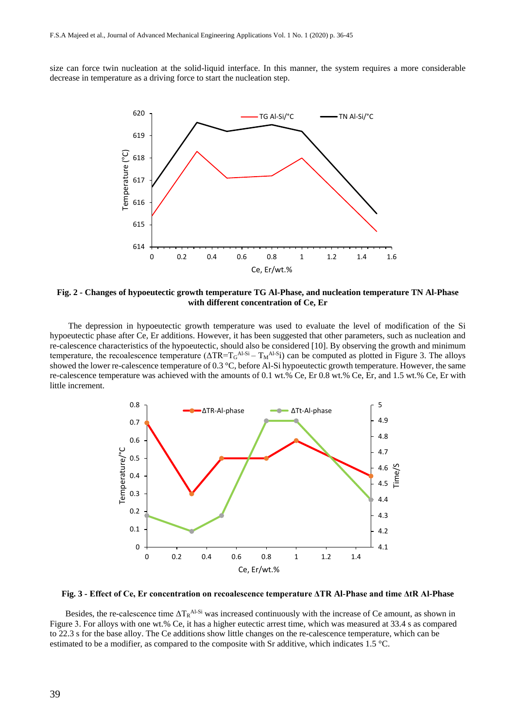size can force twin nucleation at the solid-liquid interface. In this manner, the system requires a more considerable decrease in temperature as a driving force to start the nucleation step.



**Fig. 2 - Changes of hypoeutectic growth temperature TG Al-Phase, and nucleation temperature TN Al-Phase with different concentration of Ce, Er**

The depression in hypoeutectic growth temperature was used to evaluate the level of modification of the Si hypoeutectic phase after Ce, Er additions. However, it has been suggested that other parameters, such as nucleation and re-calescence characteristics of the hypoeutectic, should also be considered [10]. By observing the growth and minimum temperature, the recoalescence temperature  $(\Delta TR = T_GA^{1-Si} - T_MA^{1-S}i)$  can be computed as plotted in Figure 3. The alloys showed the lower re-calescence temperature of 0.3 °C, before Al-Si hypoeutectic growth temperature. However, the same re-calescence temperature was achieved with the amounts of 0.1 wt.% Ce, Er 0.8 wt.% Ce, Er, and 1.5 wt.% Ce, Er with little increment.



**Fig. 3 - Effect of Ce, Er concentration on recoalescence temperature ΔTR Al-Phase and time ΔtR Al-Phase**

Besides, the re-calescence time  $\Delta T_R$ <sup>Al-Si</sup> was increased continuously with the increase of Ce amount, as shown in Figure 3. For alloys with one wt.% Ce, it has a higher eutectic arrest time, which was measured at 33.4 s as compared to 22.3 s for the base alloy. The Ce additions show little changes on the re-calescence temperature, which can be estimated to be a modifier, as compared to the composite with Sr additive, which indicates 1.5 °C.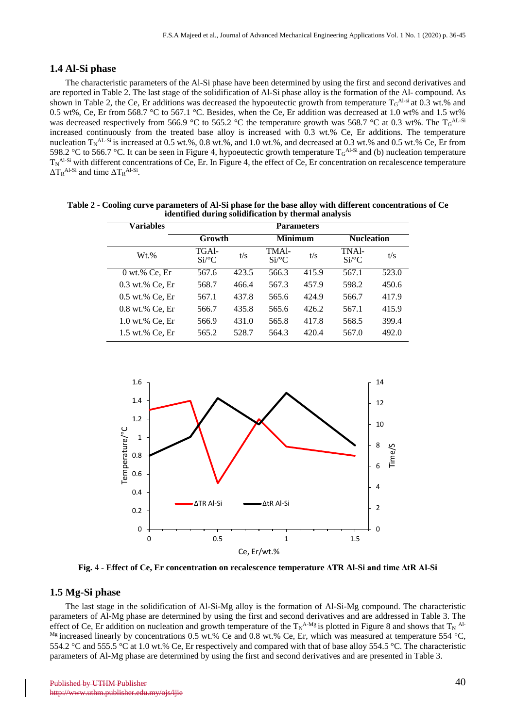# **1.4 Al-Si phase**

The characteristic parameters of the Al-Si phase have been determined by using the first and second derivatives and are reported in Table 2. The last stage of the solidification of Al-Si phase alloy is the formation of the Al- compound. As shown in Table 2, the Ce, Er additions was decreased the hypoeutectic growth from temperature  $T_G^{A!-si}$  at 0.3 wt.% and 0.5 wt%, Ce, Er from 568.7 °C to 567.1 °C. Besides, when the Ce, Er addition was decreased at 1.0 wt% and 1.5 wt% was decreased respectively from 566.9 °C to 565.2 °C the temperature growth was 568.7 °C at 0.3 wt%. The T<sub>G</sub>AL-Si increased continuously from the treated base alloy is increased with 0.3 wt.% Ce, Er additions. The temperature nucleation  $T_N^{AL-Si}$  is increased at 0.5 wt.%, 0.8 wt.%, and 1.0 wt.%, and decreased at 0.3 wt.% and 0.5 wt.% Ce, Er from 598.2 °C to 566.7 °C. It can be seen in Figure 4, hypoeutectic growth temperature  $T_G^{A1-Si}$  and (b) nucleation temperature  $T_N$ <sup>Al-Si</sup> with different concentrations of Ce, Er. In Figure 4, the effect of Ce, Er concentration on recalescence temperature  $\Delta T_R$ <sup>Al-Si</sup> and time  $\Delta T_R$ <sup>Al-Si</sup>.

| <b>Variables</b>  | <b>Parameters</b>            |       |                                           |       |                                |       |
|-------------------|------------------------------|-------|-------------------------------------------|-------|--------------------------------|-------|
|                   | Growth                       |       | <b>Minimum</b>                            |       | <b>Nucleation</b>              |       |
| $Wt.$ %           | TGAI-<br>$Si$ <sup>o</sup> C | t/s   | TMA <sub>1</sub> -<br>$Si$ <sup>o</sup> C | t/s   | TNA <sub>1</sub> -<br>$Si$ /°C | t/s   |
| $0$ wt.% Ce, Er   | 567.6                        | 423.5 | 566.3                                     | 415.9 | 567.1                          | 523.0 |
| $0.3$ wt.% Ce, Er | 568.7                        | 466.4 | 567.3                                     | 457.9 | 598.2                          | 450.6 |
| $0.5$ wt.% Ce, Er | 567.1                        | 437.8 | 565.6                                     | 424.9 | 566.7                          | 417.9 |
| $0.8$ wt.% Ce, Er | 566.7                        | 435.8 | 565.6                                     | 426.2 | 567.1                          | 415.9 |
| 1.0 wt.% Ce, Er   | 566.9                        | 431.0 | 565.8                                     | 417.8 | 568.5                          | 399.4 |
| 1.5 wt.% Ce, Er   | 565.2                        | 528.7 | 564.3                                     | 420.4 | 567.0                          | 492.0 |

**Table 2 - Cooling curve parameters of Al-Si phase for the base alloy with different concentrations of Ce identified during solidification by thermal analysis**



**Fig.** 4 **- Effect of Ce, Er concentration on recalescence temperature ΔTR Al-Si and time ΔtR Al-Si**

# **1.5 Mg-Si phase**

The last stage in the solidification of Al-Si-Mg alloy is the formation of Al-Si-Mg compound. The characteristic parameters of Al-Mg phase are determined by using the first and second derivatives and are addressed in Table 3. The effect of Ce, Er addition on nucleation and growth temperature of the  $T_N^{A-Mg}$  is plotted in Figure 8 and shows that  $T_N^{A!A}$  $^{Mg}$  increased linearly by concentrations 0.5 wt.% Ce and 0.8 wt.% Ce, Er, which was measured at temperature 554 °C, 554.2 °C and 555.5 °C at 1.0 wt.% Ce, Er respectively and compared with that of base alloy 554.5 °C. The characteristic parameters of Al-Mg phase are determined by using the first and second derivatives and are presented in Table 3.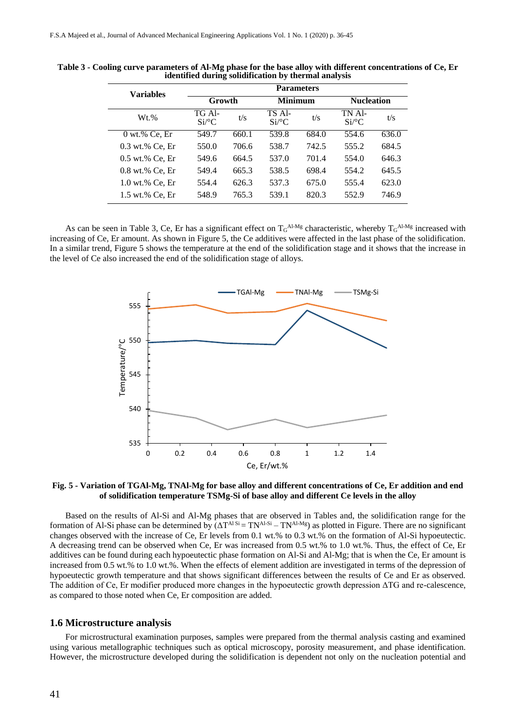| <b>Variables</b>  | <b>Parameters</b>             |       |                    |       |                               |       |
|-------------------|-------------------------------|-------|--------------------|-------|-------------------------------|-------|
|                   | Growth                        |       | <b>Minimum</b>     |       | <b>Nucleation</b>             |       |
| $Wt.$ %           | TG Al-<br>$Si$ <sup>o</sup> C | t/s   | TS Al-<br>$Si$ /°C | t/s   | TN Al-<br>$Si$ <sup>o</sup> C | t/s   |
| $0$ wt.% Ce, Er   | 549.7                         | 660.1 | 539.8              | 684.0 | 554.6                         | 636.0 |
| $0.3$ wt.% Ce, Er | 550.0                         | 706.6 | 538.7              | 742.5 | 555.2                         | 684.5 |
| $0.5$ wt.% Ce, Er | 549.6                         | 664.5 | 537.0              | 701.4 | 554.0                         | 646.3 |
| $0.8$ wt.% Ce, Er | 549.4                         | 665.3 | 538.5              | 698.4 | 554.2                         | 645.5 |
| 1.0 wt.% Ce, Er   | 554.4                         | 626.3 | 537.3              | 675.0 | 555.4                         | 623.0 |
| 1.5 wt.% Ce, Er   | 548.9                         | 765.3 | 539.1              | 820.3 | 552.9                         | 746.9 |

**Table 3 - Cooling curve parameters of Al-Mg phase for the base alloy with different concentrations of Ce, Er identified during solidification by thermal analysis**

As can be seen in Table 3, Ce, Er has a significant effect on  $T_G^{Al-Mg}$  characteristic, whereby  $T_G^{Al-Mg}$  increased with increasing of Ce, Er amount. As shown in Figure 5, the Ce additives were affected in the last phase of the solidification. In a similar trend, Figure 5 shows the temperature at the end of the solidification stage and it shows that the increase in the level of Ce also increased the end of the solidification stage of alloys.



**Fig. 5 - Variation of TGAl-Mg, TNAl-Mg for base alloy and different concentrations of Ce, Er addition and end of solidification temperature TSMg-Si of base alloy and different Ce levels in the alloy**

Based on the results of Al-Si and Al-Mg phases that are observed in Tables and, the solidification range for the formation of Al-Si phase can be determined by  $\overrightarrow{(}\Delta T^{Al~Si} = TN^{Al~Si} - TN^{Al~Mg})$  as plotted in Figure. There are no significant changes observed with the increase of Ce, Er levels from 0.1 wt.% to 0.3 wt.% on the formation of Al-Si hypoeutectic. A decreasing trend can be observed when Ce, Er was increased from 0.5 wt.% to 1.0 wt.%. Thus, the effect of Ce, Er additives can be found during each hypoeutectic phase formation on Al-Si and Al-Mg; that is when the Ce, Er amount is increased from 0.5 wt.% to 1.0 wt.%. When the effects of element addition are investigated in terms of the depression of hypoeutectic growth temperature and that shows significant differences between the results of Ce and Er as observed. The addition of Ce, Er modifier produced more changes in the hypoeutectic growth depression ΔTG and re-calescence, as compared to those noted when Ce, Er composition are added.

#### **1.6 Microstructure analysis**

For microstructural examination purposes, samples were prepared from the thermal analysis casting and examined using various metallographic techniques such as optical microscopy, porosity measurement, and phase identification. However, the microstructure developed during the solidification is dependent not only on the nucleation potential and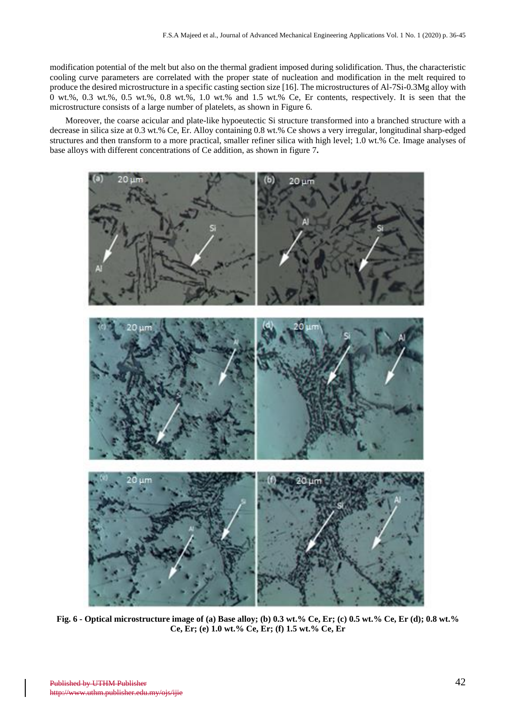modification potential of the melt but also on the thermal gradient imposed during solidification. Thus, the characteristic cooling curve parameters are correlated with the proper state of nucleation and modification in the melt required to produce the desired microstructure in a specific casting section size [16]. The microstructures of Al-7Si-0.3Mg alloy with 0 wt.%, 0.3 wt.%, 0.5 wt.%, 0.8 wt.%, 1.0 wt.% and 1.5 wt.% Ce, Er contents, respectively. It is seen that the microstructure consists of a large number of platelets, as shown in Figure 6.

Moreover, the coarse acicular and plate-like hypoeutectic Si structure transformed into a branched structure with a decrease in silica size at 0.3 wt.% Ce, Er. Alloy containing 0.8 wt.% Ce shows a very irregular, longitudinal sharp-edged structures and then transform to a more practical, smaller refiner silica with high level; 1.0 wt.% Ce. Image analyses of base alloys with different concentrations of Ce addition, as shown in figure 7**.**



**Fig. 6 - Optical microstructure image of (a) Base alloy; (b) 0.3 wt.% Ce, Er; (c) 0.5 wt.% Ce, Er (d); 0.8 wt.% Ce, Er; (e) 1.0 wt.% Ce, Er; (f) 1.5 wt.% Ce, Er**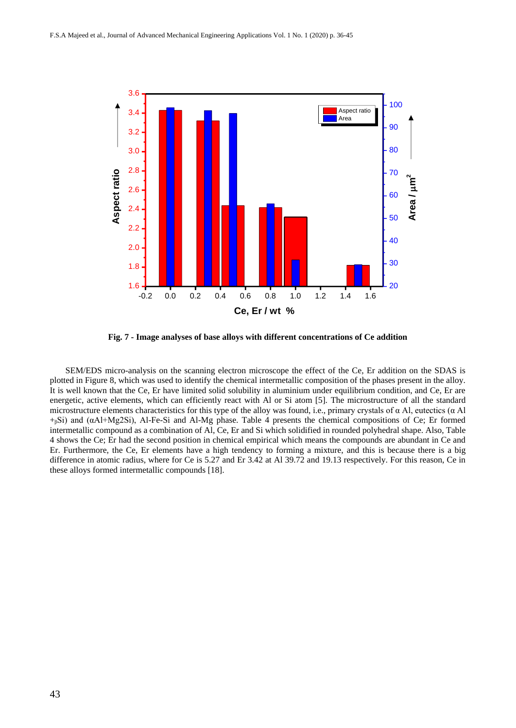

**Fig. 7 - Image analyses of base alloys with different concentrations of Ce addition**

SEM/EDS micro-analysis on the scanning electron microscope the effect of the Ce, Er addition on the SDAS is plotted in Figure 8, which was used to identify the chemical intermetallic composition of the phases present in the alloy. It is well known that the Ce, Er have limited solid solubility in aluminium under equilibrium condition, and Ce, Er are energetic, active elements, which can efficiently react with Al or Si atom [5]. The microstructure of all the standard microstructure elements characteristics for this type of the alloy was found, i.e., primary crystals of  $\alpha$  Al, eutectics ( $\alpha$  Al +<sub>β</sub>Si) and (αAl+Mg2Si), Al-Fe-Si and Al-Mg phase. Table 4 presents the chemical compositions of Ce; Er formed intermetallic compound as a combination of Al, Ce, Er and Si which solidified in rounded polyhedral shape. Also, Table 4 shows the Ce; Er had the second position in chemical empirical which means the compounds are abundant in Ce and Er. Furthermore, the Ce, Er elements have a high tendency to forming a mixture, and this is because there is a big difference in atomic radius, where for Ce is 5.27 and Er 3.42 at Al 39.72 and 19.13 respectively. For this reason, Ce in these alloys formed intermetallic compounds [18].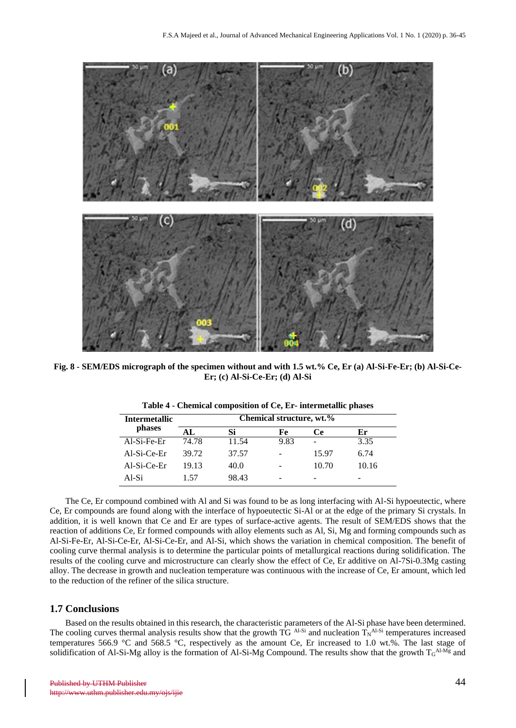

**Fig. 8 - SEM/EDS micrograph of the specimen without and with 1.5 wt.% Ce, Er (a) Al-Si-Fe-Er; (b) Al-Si-Ce-Er; (c) Al-Si-Ce-Er; (d) Al-Si**

| <b>Intermetallic</b> |       | Chemical structure, wt.% |      |       |       |  |  |
|----------------------|-------|--------------------------|------|-------|-------|--|--|
| phases               | AL    | Si                       | Fe   | Ce    | Er    |  |  |
| Al-Si-Fe-Er          | 74.78 | 11.54                    | 9.83 |       | 3.35  |  |  |
| $AI-Si-Ce-Er$        | 39.72 | 37.57                    |      | 15.97 | 6.74  |  |  |
| Al-Si-Ce-Er          | 19.13 | 40.0                     |      | 10.70 | 10.16 |  |  |
| Al-Si                | 1.57  | 98.43                    |      |       |       |  |  |

**Table 4 - Chemical composition of Ce, Er- intermetallic phases**

The Ce, Er compound combined with Al and Si was found to be as long interfacing with Al-Si hypoeutectic, where Ce, Er compounds are found along with the interface of hypoeutectic Si-Al or at the edge of the primary Si crystals. In addition, it is well known that Ce and Er are types of surface-active agents. The result of SEM/EDS shows that the reaction of additions Ce, Er formed compounds with alloy elements such as Al, Si, Mg and forming compounds such as Al-Si-Fe-Er, Al-Si-Ce-Er, Al-Si-Ce-Er, and Al-Si, which shows the variation in chemical composition. The benefit of cooling curve thermal analysis is to determine the particular points of metallurgical reactions during solidification. The results of the cooling curve and microstructure can clearly show the effect of Ce, Er additive on Al-7Si-0.3Mg casting alloy. The decrease in growth and nucleation temperature was continuous with the increase of Ce, Er amount, which led to the reduction of the refiner of the silica structure.

#### **1.7 Conclusions**

Based on the results obtained in this research, the characteristic parameters of the Al-Si phase have been determined. The cooling curves thermal analysis results show that the growth TG  $A<sup>L-Si</sup>$  and nucleation  $T<sub>N</sub><sup>A<sup>L-Si</sup></sup>$  temperatures increased temperatures 566.9 °C and 568.5 °C, respectively as the amount Ce, Er increased to 1.0 wt.%. The last stage of solidification of Al-Si-Mg alloy is the formation of Al-Si-Mg Compound. The results show that the growth  $T_G^{A1 \cdot Mg}$  and